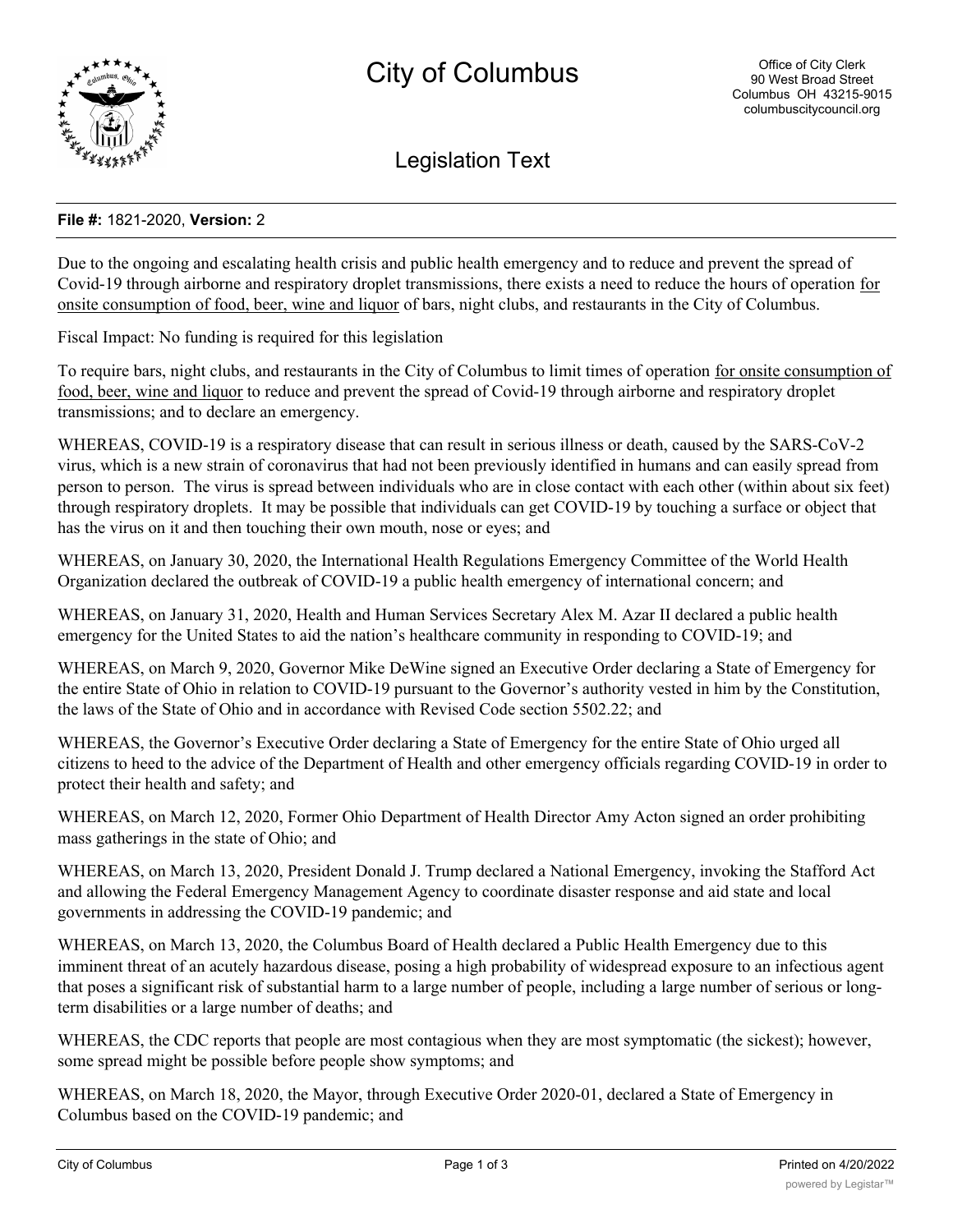

Legislation Text

## **File #:** 1821-2020, **Version:** 2

Due to the ongoing and escalating health crisis and public health emergency and to reduce and prevent the spread of Covid-19 through airborne and respiratory droplet transmissions, there exists a need to reduce the hours of operation for onsite consumption of food, beer, wine and liquor of bars, night clubs, and restaurants in the City of Columbus.

Fiscal Impact: No funding is required for this legislation

To require bars, night clubs, and restaurants in the City of Columbus to limit times of operation for onsite consumption of food, beer, wine and liquor to reduce and prevent the spread of Covid-19 through airborne and respiratory droplet transmissions; and to declare an emergency.

WHEREAS, COVID-19 is a respiratory disease that can result in serious illness or death, caused by the SARS-CoV-2 virus, which is a new strain of coronavirus that had not been previously identified in humans and can easily spread from person to person. The virus is spread between individuals who are in close contact with each other (within about six feet) through respiratory droplets. It may be possible that individuals can get COVID-19 by touching a surface or object that has the virus on it and then touching their own mouth, nose or eyes; and

WHEREAS, on January 30, 2020, the International Health Regulations Emergency Committee of the World Health Organization declared the outbreak of COVID-19 a public health emergency of international concern; and

WHEREAS, on January 31, 2020, Health and Human Services Secretary Alex M. Azar II declared a public health emergency for the United States to aid the nation's healthcare community in responding to COVID-19; and

WHEREAS, on March 9, 2020, Governor Mike DeWine signed an Executive Order declaring a State of Emergency for the entire State of Ohio in relation to COVID-19 pursuant to the Governor's authority vested in him by the Constitution, the laws of the State of Ohio and in accordance with Revised Code section 5502.22; and

WHEREAS, the Governor's Executive Order declaring a State of Emergency for the entire State of Ohio urged all citizens to heed to the advice of the Department of Health and other emergency officials regarding COVID-19 in order to protect their health and safety; and

WHEREAS, on March 12, 2020, Former Ohio Department of Health Director Amy Acton signed an order prohibiting mass gatherings in the state of Ohio; and

WHEREAS, on March 13, 2020, President Donald J. Trump declared a National Emergency, invoking the Stafford Act and allowing the Federal Emergency Management Agency to coordinate disaster response and aid state and local governments in addressing the COVID-19 pandemic; and

WHEREAS, on March 13, 2020, the Columbus Board of Health declared a Public Health Emergency due to this imminent threat of an acutely hazardous disease, posing a high probability of widespread exposure to an infectious agent that poses a significant risk of substantial harm to a large number of people, including a large number of serious or longterm disabilities or a large number of deaths; and

WHEREAS, the CDC reports that people are most contagious when they are most symptomatic (the sickest); however, some spread might be possible before people show symptoms; and

WHEREAS, on March 18, 2020, the Mayor, through Executive Order 2020-01, declared a State of Emergency in Columbus based on the COVID-19 pandemic; and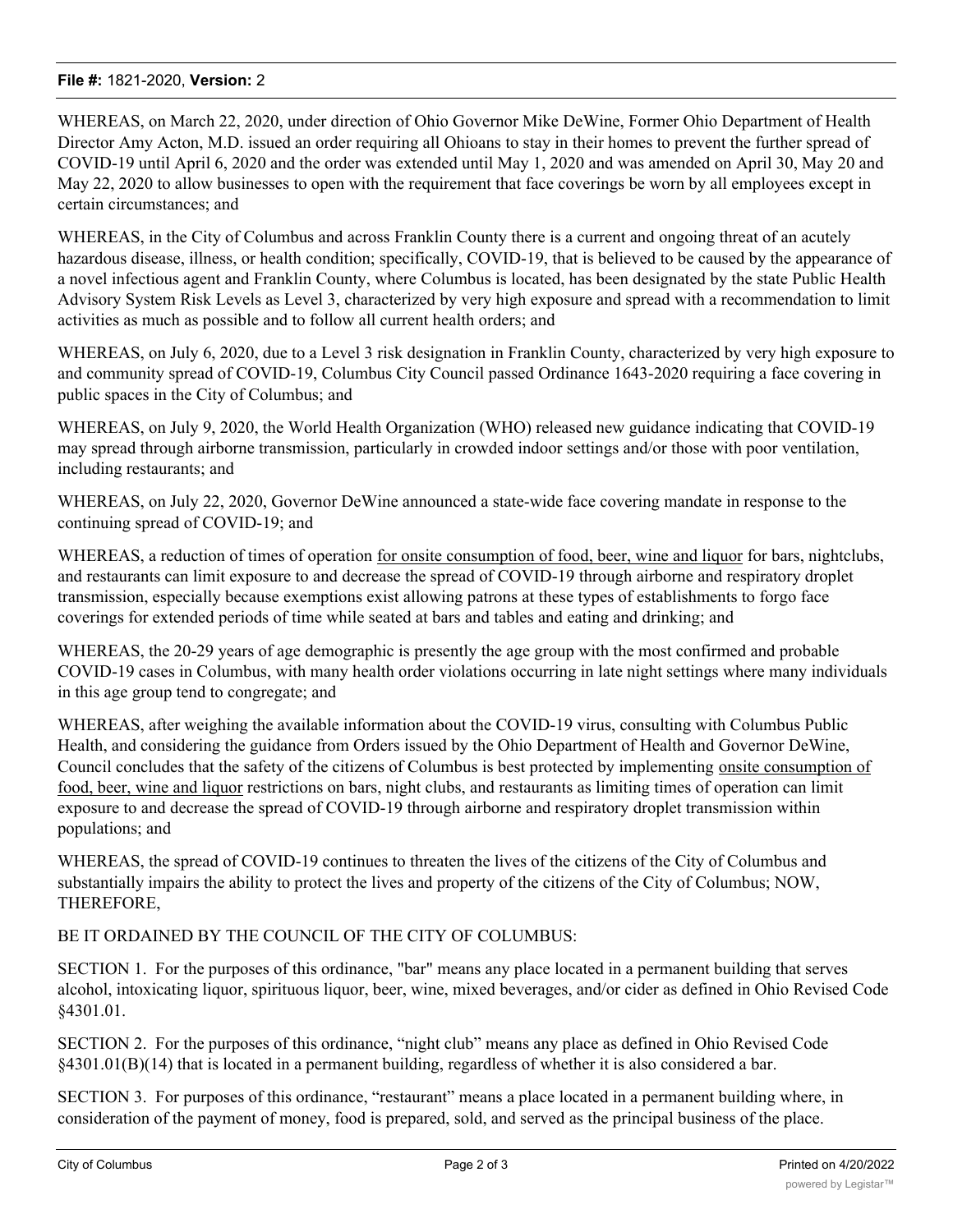## **File #:** 1821-2020, **Version:** 2

WHEREAS, on March 22, 2020, under direction of Ohio Governor Mike DeWine, Former Ohio Department of Health Director Amy Acton, M.D. issued an order requiring all Ohioans to stay in their homes to prevent the further spread of COVID-19 until April 6, 2020 and the order was extended until May 1, 2020 and was amended on April 30, May 20 and May 22, 2020 to allow businesses to open with the requirement that face coverings be worn by all employees except in certain circumstances; and

WHEREAS, in the City of Columbus and across Franklin County there is a current and ongoing threat of an acutely hazardous disease, illness, or health condition; specifically, COVID-19, that is believed to be caused by the appearance of a novel infectious agent and Franklin County, where Columbus is located, has been designated by the state Public Health Advisory System Risk Levels as Level 3, characterized by very high exposure and spread with a recommendation to limit activities as much as possible and to follow all current health orders; and

WHEREAS, on July 6, 2020, due to a Level 3 risk designation in Franklin County, characterized by very high exposure to and community spread of COVID-19, Columbus City Council passed Ordinance 1643-2020 requiring a face covering in public spaces in the City of Columbus; and

WHEREAS, on July 9, 2020, the World Health Organization (WHO) released new guidance indicating that COVID-19 may spread through airborne transmission, particularly in crowded indoor settings and/or those with poor ventilation, including restaurants; and

WHEREAS, on July 22, 2020, Governor DeWine announced a state-wide face covering mandate in response to the continuing spread of COVID-19; and

WHEREAS, a reduction of times of operation for onsite consumption of food, beer, wine and liquor for bars, nightclubs, and restaurants can limit exposure to and decrease the spread of COVID-19 through airborne and respiratory droplet transmission, especially because exemptions exist allowing patrons at these types of establishments to forgo face coverings for extended periods of time while seated at bars and tables and eating and drinking; and

WHEREAS, the 20-29 years of age demographic is presently the age group with the most confirmed and probable COVID-19 cases in Columbus, with many health order violations occurring in late night settings where many individuals in this age group tend to congregate; and

WHEREAS, after weighing the available information about the COVID-19 virus, consulting with Columbus Public Health, and considering the guidance from Orders issued by the Ohio Department of Health and Governor DeWine, Council concludes that the safety of the citizens of Columbus is best protected by implementing onsite consumption of food, beer, wine and liquor restrictions on bars, night clubs, and restaurants as limiting times of operation can limit exposure to and decrease the spread of COVID-19 through airborne and respiratory droplet transmission within populations; and

WHEREAS, the spread of COVID-19 continues to threaten the lives of the citizens of the City of Columbus and substantially impairs the ability to protect the lives and property of the citizens of the City of Columbus; NOW, THEREFORE,

## BE IT ORDAINED BY THE COUNCIL OF THE CITY OF COLUMBUS:

SECTION 1. For the purposes of this ordinance, "bar" means any place located in a permanent building that serves alcohol, intoxicating liquor, spirituous liquor, beer, wine, mixed beverages, and/or cider as defined in Ohio Revised Code §4301.01.

SECTION 2. For the purposes of this ordinance, "night club" means any place as defined in Ohio Revised Code §4301.01(B)(14) that is located in a permanent building, regardless of whether it is also considered a bar.

SECTION 3. For purposes of this ordinance, "restaurant" means a place located in a permanent building where, in consideration of the payment of money, food is prepared, sold, and served as the principal business of the place.